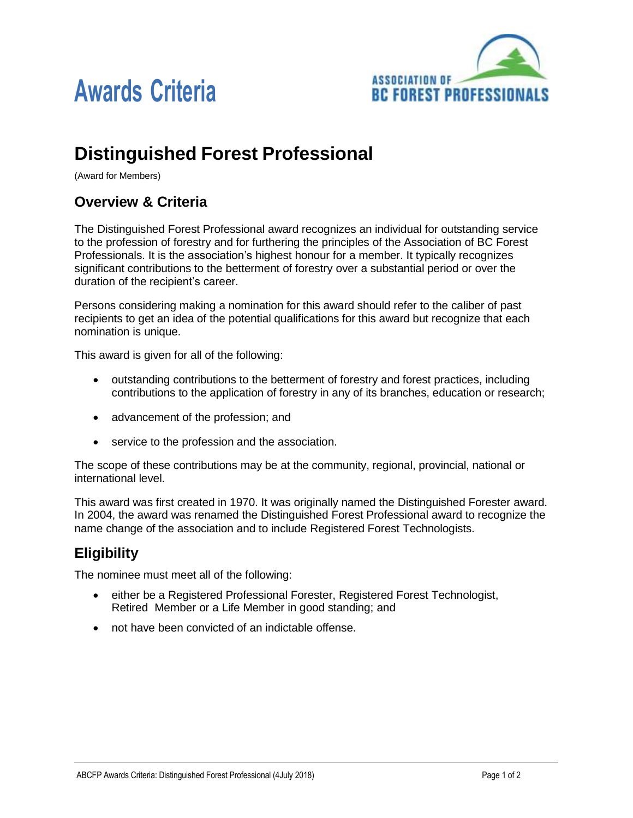



# **Distinguished Forest Professional**

(Award for Members)

#### **Overview & Criteria**

The Distinguished Forest Professional award recognizes an individual for outstanding service to the profession of forestry and for furthering the principles of the Association of BC Forest Professionals. It is the association's highest honour for a member. It typically recognizes significant contributions to the betterment of forestry over a substantial period or over the duration of the recipient's career.

Persons considering making a nomination for this award should refer to the caliber of past recipients to get an idea of the potential qualifications for this award but recognize that each nomination is unique.

This award is given for all of the following:

- outstanding contributions to the betterment of forestry and forest practices, including contributions to the application of forestry in any of its branches, education or research;
- advancement of the profession; and
- service to the profession and the association.

The scope of these contributions may be at the community, regional, provincial, national or international level.

This award was first created in 1970. It was originally named the Distinguished Forester award. In 2004, the award was renamed the Distinguished Forest Professional award to recognize the name change of the association and to include Registered Forest Technologists.

# **Eligibility**

The nominee must meet all of the following:

- either be a Registered Professional Forester, Registered Forest Technologist, Retired Member or a Life Member in good standing; and
- not have been convicted of an indictable offense.